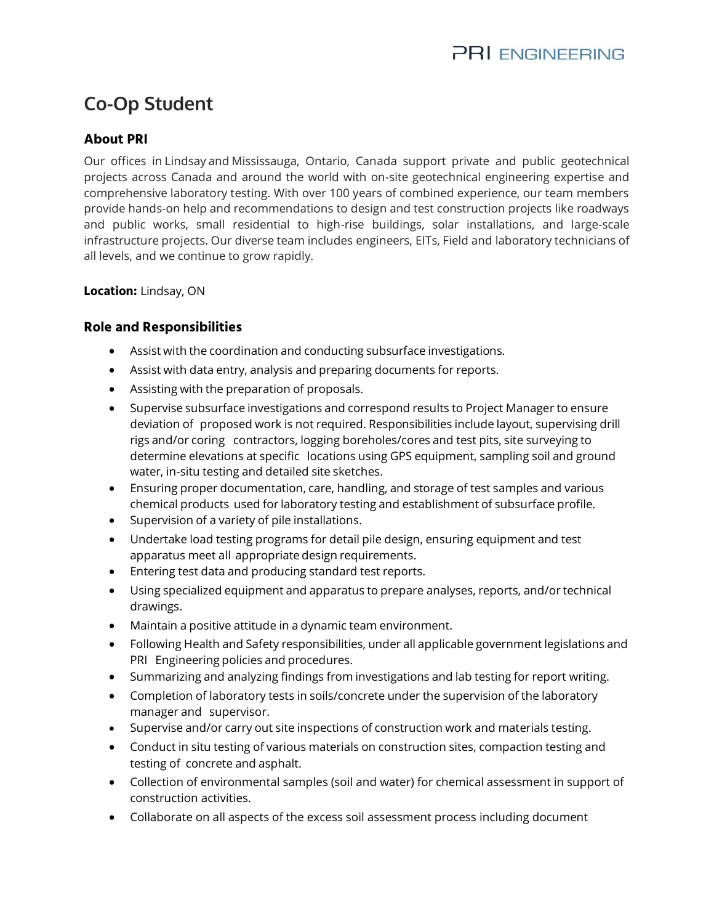# **Co-Op Student**

# **About PRI**

Our offices in [Lindsaya](https://www.google.com/maps/dir/44.3545527,-78.7374432/@44.354553,-78.737443,16z?hl=en)nd [Mississauga,](https://www.google.com/maps/dir/43.7148078,-79.6254849/@43.714808,-79.625485,16z?hl=en) Ontario, Canada support private and public geotechnical projects across Canada and around the world with on-site geotechnical engineering expertise and comprehensive laboratory testing. With over 100 years of combined experience, our team members provide hands-on help and recommendations to design and test construction projects like roadways and public works, small residential to high-rise buildings, solar installations, and large-scale infrastructure projects. Our diverse team includes engineers, EITs, Field and laboratory technicians of all levels, and we continue to grow rapidly.

#### **Location:** Lindsay, ON

## **Role and Responsibilities**

- Assist with the coordination and conducting subsurface investigations.
- Assist with data entry, analysis and preparing documents for reports.
- Assisting with the preparation of proposals.
- Supervise subsurface investigations and correspond results to Project Manager to ensure deviation of proposed work is not required. Responsibilities include layout, supervising drill rigs and/or coring contractors, logging boreholes/cores and test pits, site surveying to determine elevations at specific locations using GPS equipment, sampling soil and ground water, in-situ testing and detailed site sketches.
- Ensuring proper documentation, care, handling, and storage of test samples and various chemical products used for laboratory testingand establishment of subsurface profile.
- Supervision of a variety of pile installations.
- Undertake load testing programs for detail pile design, ensuring equipment and test apparatus meet all appropriate design requirements.
- Entering test data and producing standard test reports.
- Using specialized equipment and apparatus to prepare analyses, reports, and/or technical drawings.
- Maintain a positive attitude in a dynamic team environment.
- Following Health and Safety responsibilities, under all applicable government legislations and PRI Engineering policies and procedures.
- Summarizingand analyzing findings from investigations and lab testing for report writing.
- Completion of laboratory tests in soils/concrete under the supervision of the laboratory manager and supervisor.
- Supervise and/or carry out site inspections of construction work and materials testing.
- Conduct in situ testing of various materials on construction sites, compaction testing and testing of concrete and asphalt.
- Collection of environmental samples (soil and water) for chemical assessment in support of construction activities.
- Collaborate on all aspects of the excess soil assessment process including document